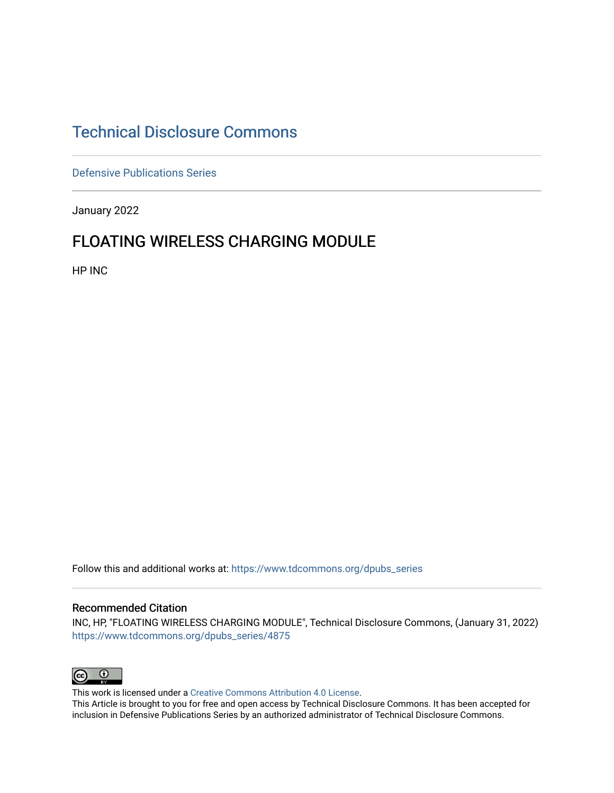# [Technical Disclosure Commons](https://www.tdcommons.org/)

[Defensive Publications Series](https://www.tdcommons.org/dpubs_series)

January 2022

### FLOATING WIRELESS CHARGING MODULE

HP INC

Follow this and additional works at: [https://www.tdcommons.org/dpubs\\_series](https://www.tdcommons.org/dpubs_series?utm_source=www.tdcommons.org%2Fdpubs_series%2F4875&utm_medium=PDF&utm_campaign=PDFCoverPages) 

#### Recommended Citation

INC, HP, "FLOATING WIRELESS CHARGING MODULE", Technical Disclosure Commons, (January 31, 2022) [https://www.tdcommons.org/dpubs\\_series/4875](https://www.tdcommons.org/dpubs_series/4875?utm_source=www.tdcommons.org%2Fdpubs_series%2F4875&utm_medium=PDF&utm_campaign=PDFCoverPages)



This work is licensed under a [Creative Commons Attribution 4.0 License](http://creativecommons.org/licenses/by/4.0/deed.en_US).

This Article is brought to you for free and open access by Technical Disclosure Commons. It has been accepted for inclusion in Defensive Publications Series by an authorized administrator of Technical Disclosure Commons.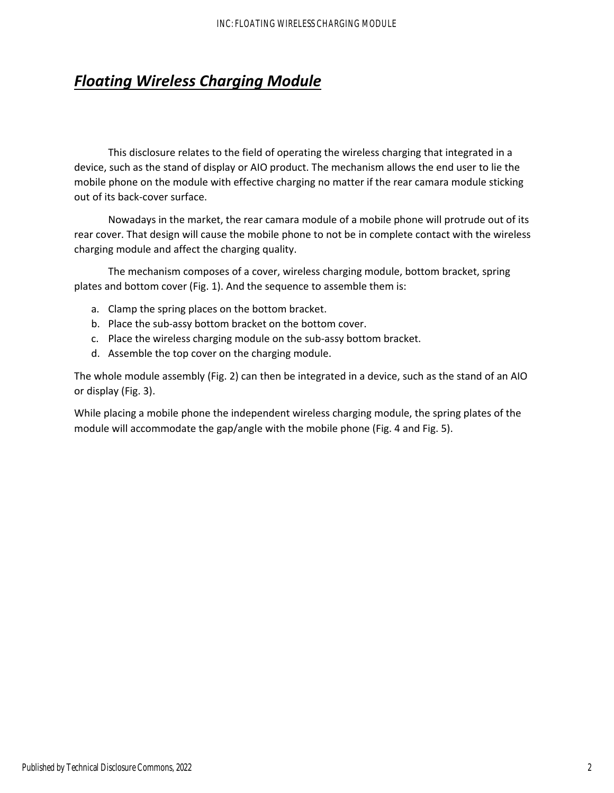# *Floating Wireless Charging Module*

This disclosure relates to the field of operating the wireless charging that integrated in a device, such as the stand of display or AIO product. The mechanism allows the end user to lie the mobile phone on the module with effective charging no matter if the rear camara module sticking out of its back‐cover surface.

Nowadays in the market, the rear camara module of a mobile phone will protrude out of its rear cover. That design will cause the mobile phone to not be in complete contact with the wireless charging module and affect the charging quality.

The mechanism composes of a cover, wireless charging module, bottom bracket, spring plates and bottom cover (Fig. 1). And the sequence to assemble them is:

- a. Clamp the spring places on the bottom bracket.
- b. Place the sub‐assy bottom bracket on the bottom cover.
- c. Place the wireless charging module on the sub‐assy bottom bracket.
- d. Assemble the top cover on the charging module.

The whole module assembly (Fig. 2) can then be integrated in a device, such as the stand of an AIO or display (Fig. 3).

While placing a mobile phone the independent wireless charging module, the spring plates of the module will accommodate the gap/angle with the mobile phone (Fig. 4 and Fig. 5).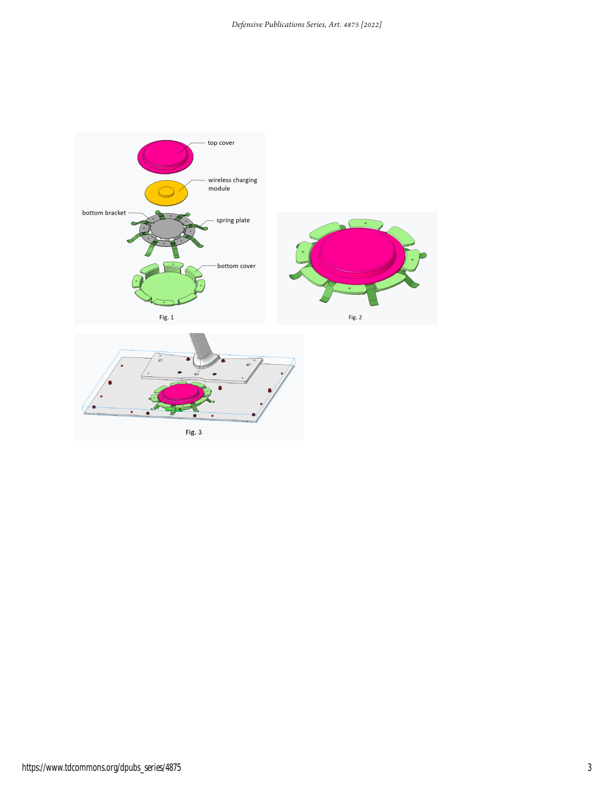